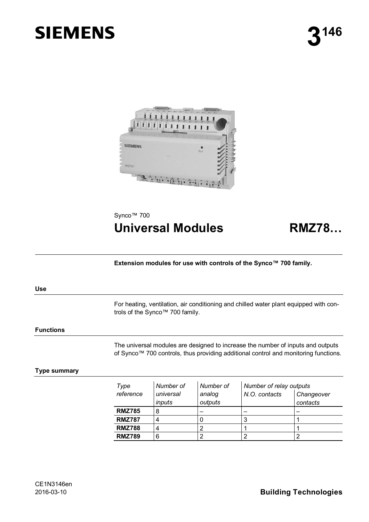# **SIEMENS**



Synco<sup>™</sup> 700

## **Universal Modules RMZ78…**

**Extension modules for use with controls of the Synco™ 700 family.** 

#### **Use**

For heating, ventilation, air conditioning and chilled water plant equipped with controls of the Synco™ 700 family.

#### **Functions**

The universal modules are designed to increase the number of inputs and outputs of Synco™ 700 controls, thus providing additional control and monitoring functions.

#### **Type summary**

| Type<br>reference | Number of<br>universal<br><i>inputs</i> | Number of<br>analog<br>outputs | Number of relay outputs<br>N.O. contacts | Changeover<br>contacts |
|-------------------|-----------------------------------------|--------------------------------|------------------------------------------|------------------------|
| <b>RMZ785</b>     | 8                                       |                                |                                          |                        |
| <b>RMZ787</b>     |                                         |                                | s.                                       |                        |
| <b>RMZ788</b>     |                                         |                                |                                          |                        |
| <b>RMZ789</b>     | 6                                       |                                |                                          |                        |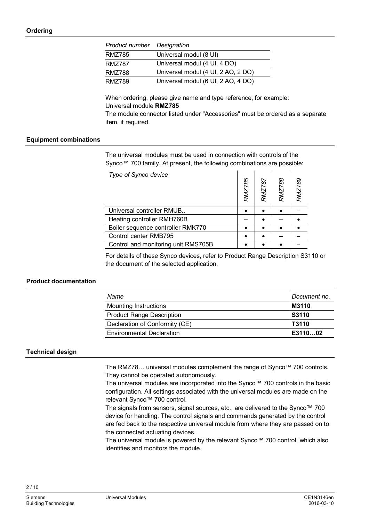| Product number   Designation |                                    |
|------------------------------|------------------------------------|
| RMZ785                       | Universal modul (8 UI)             |
| RMZ787                       | Universal modul (4 UI, 4 DO)       |
| RMZ788                       | Universal modul (4 UI, 2 AO, 2 DO) |
| RMZ789                       | Universal modul (6 UI, 2 AO, 4 DO) |

When ordering, please give name and type reference, for example: Universal module **RMZ785**

The module connector listed under "Accessories" must be ordered as a separate item, if required.

#### **Equipment combinations**

The universal modules must be used in connection with controls of the Synco™ 700 family. At present, the following combinations are possible:

| Type of Synco device                | RMZ785 | <b>RMZ787</b> | 88<br>RMZ7 | RMZ789 |
|-------------------------------------|--------|---------------|------------|--------|
| Universal controller RMUB           |        |               |            |        |
| Heating controller RMH760B          |        |               |            |        |
| Boiler sequence controller RMK770   |        |               |            |        |
| Control center RMB795               |        |               |            |        |
| Control and monitoring unit RMS705B |        |               |            |        |

For details of these Synco devices, refer to Product Range Description S3110 or the document of the selected application.

#### **Product documentation**

| Name                             | Document no. |
|----------------------------------|--------------|
| <b>Mounting Instructions</b>     | M3110        |
| <b>Product Range Description</b> | <b>S3110</b> |
| Declaration of Conformity (CE)   | T3110        |
| <b>Environmental Declaration</b> | E311002      |

### **Technical design**

The RMZ78… universal modules complement the range of Synco™ 700 controls. They cannot be operated autonomously.

The universal modules are incorporated into the Synco™ 700 controls in the basic configuration. All settings associated with the universal modules are made on the relevant Synco™ 700 control.

The signals from sensors, signal sources, etc., are delivered to the Synco™ 700 device for handling. The control signals and commands generated by the control are fed back to the respective universal module from where they are passed on to the connected actuating devices.

The universal module is powered by the relevant Synco™ 700 control, which also identifies and monitors the module.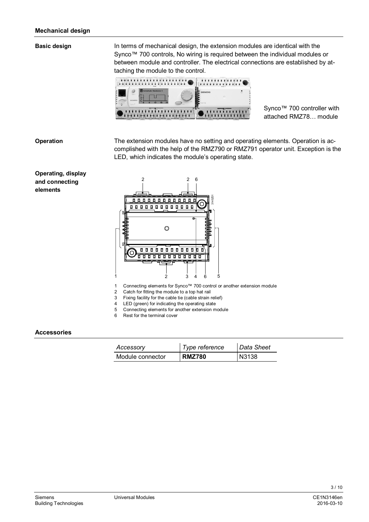#### **Basic design**

In terms of mechanical design, the extension modules are identical with the Synco™ 700 controls, No wiring is required between the individual modules or between module and controller. The electrical connections are established by attaching the module to the control.



Synco<sup>™</sup> 700 controller with attached RMZ78… module

#### **Operation**

The extension modules have no setting and operating elements. Operation is accomplished with the help of the RMZ790 or RMZ791 operator unit. Exception is the LED, which indicates the module's operating state.

#### **Operating, display and connecting elements**



- 1 Connecting elements for Synco™ 700 control or another extension module
- 2 Catch for fitting the module to a top hat rail
- 3 Fixing facility for the cable tie (cable strain relief)
- 4 LED (green) for indicating the operating state
- 5 Connecting elements for another extension module
- 6 Rest for the terminal cover

#### **Accessories**

| Accessory        | Type reference | Data Sheet |
|------------------|----------------|------------|
| Module connector | <b>RMZ780</b>  | N3138      |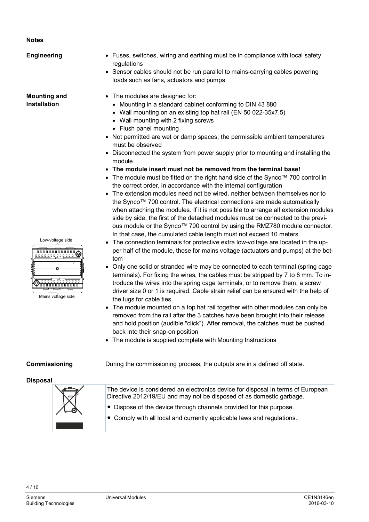#### **Notes**

| <b>Engineering</b>                                                                                       | • Fuses, switches, wiring and earthing must be in compliance with local safety<br>regulations<br>• Sensor cables should not be run parallel to mains-carrying cables powering<br>loads such as fans, actuators and pumps                                                                                                                                                                                                                                                                                                                                                                                                                                                                                                                                                                                                                                                                                                                                                                                                                                                                                                                                  |
|----------------------------------------------------------------------------------------------------------|-----------------------------------------------------------------------------------------------------------------------------------------------------------------------------------------------------------------------------------------------------------------------------------------------------------------------------------------------------------------------------------------------------------------------------------------------------------------------------------------------------------------------------------------------------------------------------------------------------------------------------------------------------------------------------------------------------------------------------------------------------------------------------------------------------------------------------------------------------------------------------------------------------------------------------------------------------------------------------------------------------------------------------------------------------------------------------------------------------------------------------------------------------------|
| <b>Mounting and</b><br><b>Installation</b>                                                               | The modules are designed for:<br>Mounting in a standard cabinet conforming to DIN 43 880<br>• Wall mounting on an existing top hat rail (EN 50 022-35x7.5)<br>• Wall mounting with 2 fixing screws<br>• Flush panel mounting<br>• Not permitted are wet or damp spaces; the permissible ambient temperatures<br>must be observed<br>Disconnected the system from power supply prior to mounting and installing the<br>module<br>The module insert must not be removed from the terminal base!<br>• The module must be fitted on the right hand side of the Synco <sup>TM</sup> 700 control in<br>the correct order, in accordance with the internal configuration<br>The extension modules need not be wired, neither between themselves nor to<br>the Synco™ 700 control. The electrical connections are made automatically<br>when attaching the modules. If it is not possible to arrange all extension modules<br>side by side, the first of the detached modules must be connected to the previ-<br>ous module or the Synco™ 700 control by using the RMZ780 module connector.<br>In that case, the cumulated cable length must not exceed 10 meters |
| Low-voltage side<br>.<br>000000000000<br><del>.</del> <del>.</del><br>UUUUUUUUUUUU<br>Mains voltage side | The connection terminals for protective extra low-voltage are located in the up-<br>per half of the module, those for mains voltage (actuators and pumps) at the bot-<br>tom<br>Only one solid or stranded wire may be connected to each terminal (spring cage<br>terminals). For fixing the wires, the cables must be stripped by 7 to 8 mm. To in-<br>troduce the wires into the spring cage terminals, or to remove them, a screw<br>driver size 0 or 1 is required. Cable strain relief can be ensured with the help of<br>the lugs for cable ties<br>The module mounted on a top hat rail together with other modules can only be<br>removed from the rail after the 3 catches have been brought into their release<br>and hold position (audible "click"). After removal, the catches must be pushed<br>back into their snap-on position<br>The module is supplied complete with Mounting Instructions<br>$\bullet$                                                                                                                                                                                                                                 |
| Commissioning                                                                                            | During the commissioning process, the outputs are in a defined off state.                                                                                                                                                                                                                                                                                                                                                                                                                                                                                                                                                                                                                                                                                                                                                                                                                                                                                                                                                                                                                                                                                 |
| <b>Disposal</b>                                                                                          | The device is considered an electronics device for disposal in terms of European<br>Directive 2012/19/EU and may not be disposed of as domestic garbage.<br>Dispose of the device through channels provided for this purpose.<br>$\bullet$                                                                                                                                                                                                                                                                                                                                                                                                                                                                                                                                                                                                                                                                                                                                                                                                                                                                                                                |

● Comply with all local and currently applicable laws and regulations..

a sa salawan

ı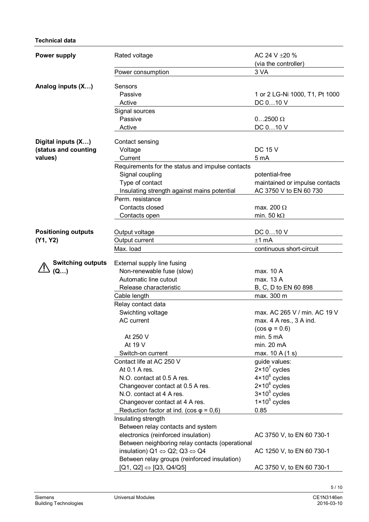#### **Technical data**

| <b>Power supply</b>        | Rated voltage                                                                                                    | AC 24 V ±20 %                  |  |
|----------------------------|------------------------------------------------------------------------------------------------------------------|--------------------------------|--|
|                            |                                                                                                                  | (via the controller)           |  |
|                            | Power consumption                                                                                                | 3 VA                           |  |
| Analog inputs (X)          | Sensors                                                                                                          |                                |  |
|                            | Passive                                                                                                          | 1 or 2 LG-Ni 1000, T1, Pt 1000 |  |
|                            | Active                                                                                                           | DC 010 V                       |  |
|                            | Signal sources                                                                                                   |                                |  |
|                            | Passive                                                                                                          | $02500 \Omega$                 |  |
|                            | Active                                                                                                           | DC 010 V                       |  |
|                            |                                                                                                                  |                                |  |
| Digital inputs (X)         | Contact sensing                                                                                                  |                                |  |
| (status and counting       | Voltage                                                                                                          | <b>DC 15 V</b>                 |  |
| values)                    | Current                                                                                                          | 5 mA                           |  |
|                            | Requirements for the status and impulse contacts                                                                 |                                |  |
|                            | Signal coupling                                                                                                  | potential-free                 |  |
|                            | Type of contact                                                                                                  | maintained or impulse contacts |  |
|                            | Insulating strength against mains potential                                                                      | AC 3750 V to EN 60 730         |  |
|                            | Perm. resistance                                                                                                 |                                |  |
|                            | Contacts closed                                                                                                  | max. 200 $\Omega$              |  |
|                            | Contacts open                                                                                                    | min. 50 k $\Omega$             |  |
| <b>Positioning outputs</b> |                                                                                                                  | DC 010 V                       |  |
| (Y1, Y2)                   | Output voltage<br>Output current                                                                                 | $±1$ mA                        |  |
|                            | Max. load                                                                                                        | continuous short-circuit       |  |
|                            |                                                                                                                  |                                |  |
| <b>Switching outputs</b>   | External supply line fusing                                                                                      |                                |  |
| (Q)                        | Non-renewable fuse (slow)                                                                                        | max. 10 A                      |  |
|                            | Automatic line cutout                                                                                            | max. 13 A                      |  |
|                            | Release characteristic                                                                                           | B, C, D to EN 60 898           |  |
|                            | Cable length                                                                                                     | max. 300 m                     |  |
|                            | Relay contact data                                                                                               |                                |  |
|                            | Swichting voltage                                                                                                | max. AC 265 V / min. AC 19 V   |  |
|                            | AC current                                                                                                       | max. 4 A res., 3 A ind.        |  |
|                            |                                                                                                                  | $(cos \varphi = 0.6)$          |  |
|                            | At 250 V                                                                                                         | min. 5 mA                      |  |
|                            | At 19 V                                                                                                          | min. 20 mA                     |  |
|                            | Switch-on current                                                                                                | max. 10 A (1 s)                |  |
|                            | Contact life at AC 250 V                                                                                         | guide values:                  |  |
|                            | At 0.1 A res.                                                                                                    | $2 \times 10^7$ cycles         |  |
|                            | N.O. contact at 0.5 A res.                                                                                       | $4 \times 10^6$ cycles         |  |
|                            | Changeover contact at 0.5 A res.                                                                                 | $2 \times 10^6$ cycles         |  |
|                            | N.O. contact at 4 A res.                                                                                         | $3 \times 10^5$ cycles         |  |
|                            | Changeover contact at 4 A res.                                                                                   | $1 \times 10^5$ cycles         |  |
|                            | Reduction factor at ind. (cos $\varphi = 0.6$ )                                                                  | 0.85                           |  |
|                            | Insulating strength                                                                                              |                                |  |
|                            | Between relay contacts and system                                                                                |                                |  |
|                            | electronics (reinforced insulation)                                                                              | AC 3750 V, to EN 60 730-1      |  |
|                            | Between neighboring relay contacts (operational<br>insulation) $Q1 \Leftrightarrow Q2$ ; $Q3 \Leftrightarrow Q4$ |                                |  |
|                            | Between relay groups (reinforced insulation)                                                                     | AC 1250 V, to EN 60 730-1      |  |
|                            |                                                                                                                  |                                |  |
|                            | $[Q1, Q2] \Leftrightarrow [Q3, Q4/Q5]$                                                                           | AC 3750 V, to EN 60 730-1      |  |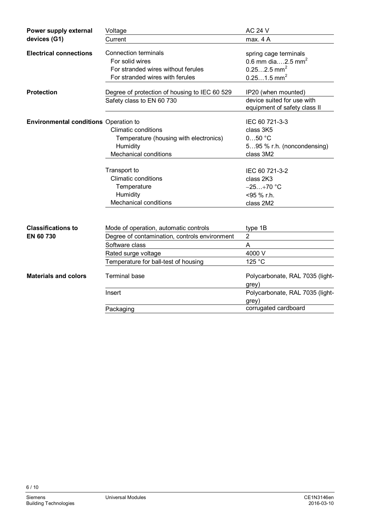| Power supply external                        | Voltage                                                                              | <b>AC 24 V</b>                                                                      |
|----------------------------------------------|--------------------------------------------------------------------------------------|-------------------------------------------------------------------------------------|
| devices (G1)                                 | Current                                                                              | max. 4 A                                                                            |
| <b>Electrical connections</b>                | <b>Connection terminals</b><br>For solid wires<br>For stranded wires without ferules | spring cage terminals<br>0.6 mm dia2.5 mm <sup>2</sup><br>$0.252.5$ mm <sup>2</sup> |
|                                              | For stranded wires with ferules                                                      | $0.251.5$ mm <sup>2</sup>                                                           |
| <b>Protection</b>                            | Degree of protection of housing to IEC 60 529                                        | IP20 (when mounted)                                                                 |
|                                              | Safety class to EN 60 730                                                            | device suited for use with<br>equipment of safety class II                          |
| <b>Environmental conditions</b> Operation to |                                                                                      | IEC 60 721-3-3                                                                      |
|                                              | <b>Climatic conditions</b>                                                           | class 3K5                                                                           |
|                                              | Temperature (housing with electronics)                                               | $050$ °C                                                                            |
|                                              | Humidity                                                                             | 595 % r.h. (noncondensing)                                                          |
|                                              | <b>Mechanical conditions</b>                                                         | class 3M2                                                                           |
|                                              | Transport to                                                                         | IEC 60 721-3-2                                                                      |
|                                              | <b>Climatic conditions</b>                                                           | class 2K3                                                                           |
|                                              | Temperature                                                                          | $-25+70$ °C                                                                         |
|                                              | Humidity                                                                             | <95 % r.h.                                                                          |
|                                              | <b>Mechanical conditions</b>                                                         | class 2M2                                                                           |
|                                              |                                                                                      |                                                                                     |
| <b>Classifications to</b>                    | Mode of operation, automatic controls                                                | type 1B                                                                             |
| EN 60 730                                    | Degree of contamination, controls environment                                        | $\overline{2}$                                                                      |
|                                              | Software class                                                                       | A                                                                                   |
|                                              | Rated surge voltage                                                                  | 4000 V                                                                              |
|                                              | Temperature for ball-test of housing                                                 | 125 °C                                                                              |
| <b>Materials and colors</b>                  | <b>Terminal base</b>                                                                 | Polycarbonate, RAL 7035 (light-<br>grey)                                            |
|                                              | Insert                                                                               | Polycarbonate, RAL 7035 (light-<br>grey)                                            |
|                                              | Packaging                                                                            | corrugated cardboard                                                                |
|                                              |                                                                                      |                                                                                     |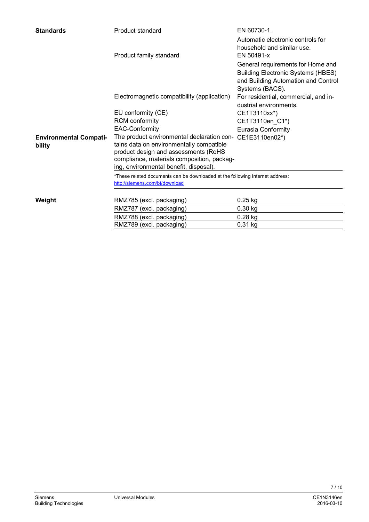| <b>Standards</b>                        | Product standard                                                                                                                                                                                                                      | EN 60730-1.                                                                                                                              |  |  |
|-----------------------------------------|---------------------------------------------------------------------------------------------------------------------------------------------------------------------------------------------------------------------------------------|------------------------------------------------------------------------------------------------------------------------------------------|--|--|
|                                         | Product family standard                                                                                                                                                                                                               | Automatic electronic controls for<br>household and similar use.<br>EN 50491-x                                                            |  |  |
|                                         |                                                                                                                                                                                                                                       | General requirements for Home and<br><b>Building Electronic Systems (HBES)</b><br>and Building Automation and Control<br>Systems (BACS). |  |  |
|                                         | Electromagnetic compatibility (application)                                                                                                                                                                                           | For residential, commercial, and in-<br>dustrial environments.                                                                           |  |  |
|                                         | EU conformity (CE)                                                                                                                                                                                                                    | CE1T3110xx*)                                                                                                                             |  |  |
|                                         | <b>RCM</b> conformity                                                                                                                                                                                                                 | CE1T3110en_C1*)                                                                                                                          |  |  |
|                                         | <b>EAC-Conformity</b>                                                                                                                                                                                                                 | Eurasia Conformity                                                                                                                       |  |  |
| <b>Environmental Compati-</b><br>bility | The product environmental declaration con- CE1E3110en02*)<br>tains data on environmentally compatible<br>product design and assessments (RoHS<br>compliance, materials composition, packag-<br>ing, environmental benefit, disposal). |                                                                                                                                          |  |  |
|                                         | *These related documents can be downloaded at the following Internet address:<br>http://siemens.com/bt/download                                                                                                                       |                                                                                                                                          |  |  |
| Weight                                  | RMZ785 (excl. packaging)                                                                                                                                                                                                              | $0.25$ kg                                                                                                                                |  |  |
|                                         | RMZ787 (excl. packaging)                                                                                                                                                                                                              | $0.30$ kg                                                                                                                                |  |  |
|                                         | RMZ788 (excl. packaging)                                                                                                                                                                                                              | $0.28$ kg                                                                                                                                |  |  |
|                                         | RMZ789 (excl. packaging)                                                                                                                                                                                                              | $0.31$ kg                                                                                                                                |  |  |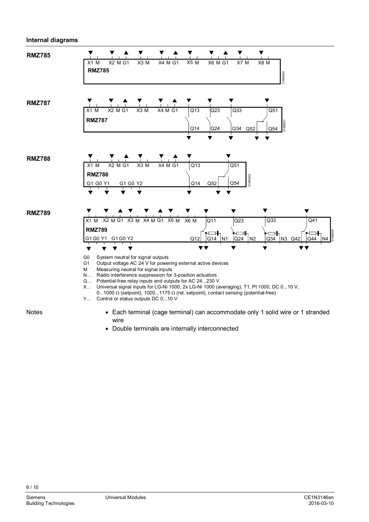#### **Internal diagrams**



**Notes** 

- Each terminal (cage terminal) can accommodate only 1 solid wire or 1 stranded wire
- Double terminals are internally interconnected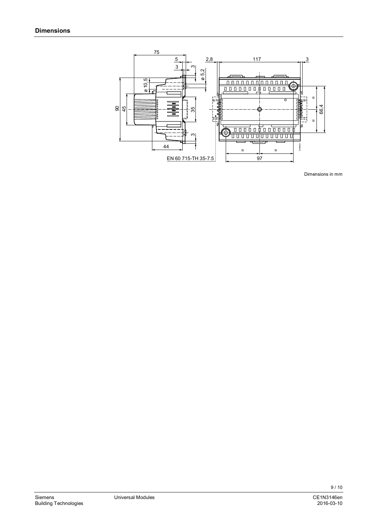

Dimensions in mm